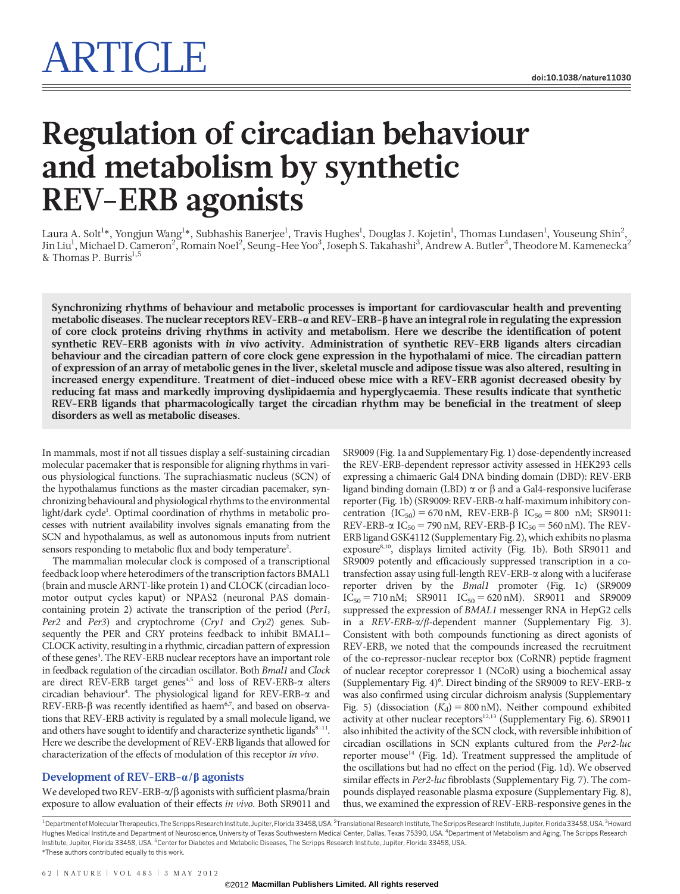# Regulation of circadian behaviour and metabolism by synthetic REV-ERB agonists

Laura A. Solt<sup>1</sup>\*, Yongjun Wang<sup>1</sup>\*, Subhashis Banerjee<sup>1</sup>, Travis Hughes<sup>1</sup>, Douglas J. Kojetin<sup>1</sup>, Thomas Lundasen<sup>1</sup>, Youseung Shin<sup>2</sup>, Jin Liu<sup>1</sup>, Michael D. Cameron<sup>2</sup>, Romain Noel<sup>2</sup>, Seung-Hee Yoo<sup>3</sup>, Joseph S. Takahashi<sup>3</sup>, Andrew A. Butler<sup>4</sup>, Theodore M. Kamenecka<sup>2</sup> & Thomas P. Burris<sup>1,5</sup>

Synchronizing rhythms of behaviour and metabolic processes is important for cardiovascular health and preventing metabolic diseases. The nuclear receptors  $REV$ -ERB- $\alpha$  and  $REV$ -ERB- $\beta$  have an integral role in regulating the expression of core clock proteins driving rhythms in activity and metabolism. Here we describe the identification of potent synthetic REV-ERB agonists with in vivo activity. Administration of synthetic REV-ERB ligands alters circadian behaviour and the circadian pattern of core clock gene expression in the hypothalami of mice. The circadian pattern of expression of an array of metabolic genes in the liver, skeletal muscle and adipose tissue was also altered, resulting in increased energy expenditure. Treatment of diet-induced obese mice with a REV-ERB agonist decreased obesity by reducing fat mass and markedly improving dyslipidaemia and hyperglycaemia. These results indicate that synthetic REV-ERB ligands that pharmacologically target the circadian rhythm may be beneficial in the treatment of sleep disorders as well as metabolic diseases.

In mammals, most if not all tissues display a self-sustaining circadian molecular pacemaker that is responsible for aligning rhythms in various physiological functions. The suprachiasmatic nucleus (SCN) of the hypothalamus functions as the master circadian pacemaker, synchronizing behavioural and physiological rhythms to the environmental light/dark cycle<sup>1</sup>. Optimal coordination of rhythms in metabolic processes with nutrient availability involves signals emanating from the SCN and hypothalamus, as well as autonomous inputs from nutrient sensors responding to metabolic flux and body temperature<sup>2</sup>.

The mammalian molecular clock is composed of a transcriptional feedback loop where heterodimers of the transcription factors BMAL1 (brain and muscle ARNT-like protein 1) and CLOCK (circadian locomotor output cycles kaput) or NPAS2 (neuronal PAS domaincontaining protein 2) activate the transcription of the period (Per1, Per2 and Per3) and cryptochrome (Cry1 and Cry2) genes. Subsequently the PER and CRY proteins feedback to inhibit BMAL1– CLOCK activity, resulting in a rhythmic, circadian pattern of expression of these genes<sup>3</sup>. The REV-ERB nuclear receptors have an important role in feedback regulation of the circadian oscillator. Both Bmal1 and Clock are direct REV-ERB target genes<sup>4,5</sup> and loss of REV-ERB- $\alpha$  alters circadian behaviour<sup>4</sup>. The physiological ligand for REV-ERB- $\alpha$  and REV-ERB- $\beta$  was recently identified as haem<sup>6,7</sup>, and based on observations that REV-ERB activity is regulated by a small molecule ligand, we and others have sought to identify and characterize synthetic ligands $8-11$ . Here we describe the development of REV-ERB ligands that allowed for characterization of the effects of modulation of this receptor in vivo.

## Development of REV-ERB- $\alpha/\beta$  agonists

We developed two REV-ERB- $\alpha/\beta$  agonists with sufficient plasma/brain exposure to allow evaluation of their effects in vivo. Both SR9011 and SR9009 (Fig. 1a and Supplementary Fig. 1) dose-dependently increased the REV-ERB-dependent repressor activity assessed in HEK293 cells expressing a chimaeric Gal4 DNA binding domain (DBD): REV-ERB ligand binding domain (LBD)  $\alpha$  or  $\beta$  and a Gal4-responsive luciferase reporter (Fig. 1b) (SR9009: REV-ERB-a half-maximum inhibitory concentration  $(IC_{50}) = 670$  nM, REV-ERB- $\beta$  IC<sub>50</sub> = 800 nM; SR9011: REV-ERB- $\alpha$  IC<sub>50</sub> = 790 nM, REV-ERB- $\beta$  IC<sub>50</sub> = 560 nM). The REV-ERB ligand GSK4112 (Supplementary Fig. 2), which exhibits no plasma exposure<sup>8,10</sup>, displays limited activity (Fig. 1b). Both SR9011 and SR9009 potently and efficaciously suppressed transcription in a cotransfection assay using full-length REV-ERB- $\alpha$  along with a luciferase reporter driven by the Bmal1 promoter (Fig. 1c) (SR9009  $IC_{50} = 710 \text{ nM};$  SR9011  $IC_{50} = 620 \text{ nM}$ ). SR9011 and SR9009 suppressed the expression of BMAL1 messenger RNA in HepG2 cells in a  $REV-ERB-\alpha/\beta$ -dependent manner (Supplementary Fig. 3). Consistent with both compounds functioning as direct agonists of REV-ERB, we noted that the compounds increased the recruitment of the co-repressor-nuclear receptor box (CoRNR) peptide fragment of nuclear receptor corepressor 1 (NCoR) using a biochemical assay (Supplementary Fig. 4)6 . Direct binding of the SR9009 to REV-ERB-a was also confirmed using circular dichroism analysis (Supplementary Fig. 5) (dissociation  $(K_d) = 800$  nM). Neither compound exhibited activity at other nuclear receptors<sup>12,13</sup> (Supplementary Fig. 6). SR9011 also inhibited the activity of the SCN clock, with reversible inhibition of circadian oscillations in SCN explants cultured from the Per2-luc reporter mouse<sup>14</sup> (Fig. 1d). Treatment suppressed the amplitude of the oscillations but had no effect on the period (Fig. 1d). We observed similar effects in Per2-luc fibroblasts (Supplementary Fig. 7). The compounds displayed reasonable plasma exposure (Supplementary Fig. 8), thus, we examined the expression of REV-ERB-responsive genes in the

<sup>1</sup> Department of Molecular Therapeutics, The Scripps Research Institute, Jupiter, Florida 33458, USA. <sup>3</sup> Howard Actional Research Institute, The Scripps Research Institute, Jupiter, Florida 33458, USA. <sup>3</sup> Howard Hughes Medical Institute and Department of Neuroscience, University of Texas Southwestern Medical Center, Dallas, Texas 75390, USA. <sup>4</sup>Department of Metabolism and Aging, The Scripps Research Institute, Jupiter, Florida 33458, USA. <sup>5</sup>Center for Diabetes and Metabolic Diseases, The Scripps Research Institute, Jupiter, Florida 33458, USA. \*These authors contributed equally to this work.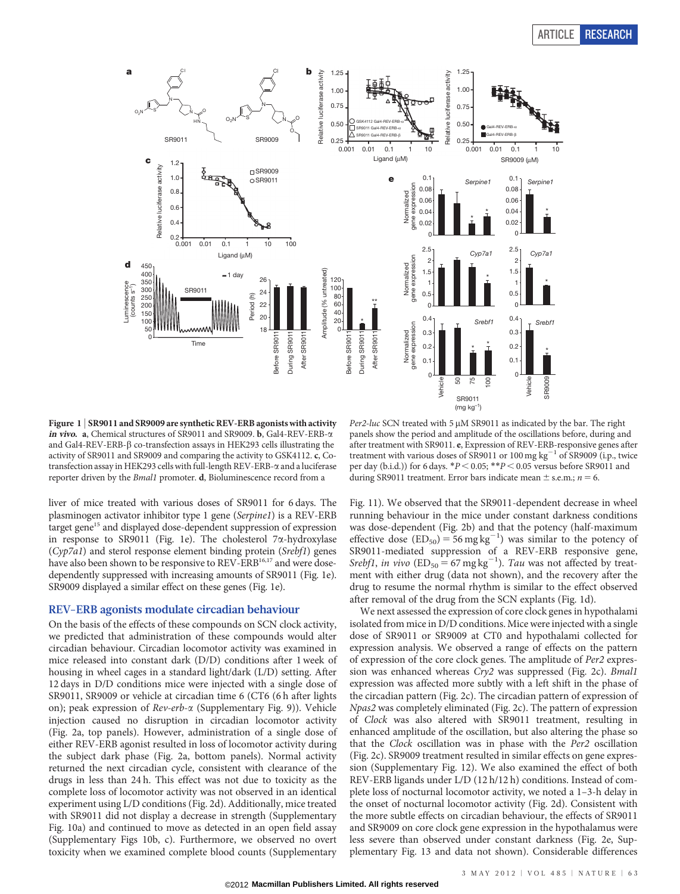

Figure 1 <sup>|</sup> SR9011 and SR9009 are synthetic REV-ERB agonists with activity in vivo. a, Chemical structures of SR9011 and SR9009. b, Gal4-REV-ERB-a and Gal4-REV-ERB- $\beta$  co-transfection assays in HEK293 cells illustrating the activity of SR9011 and SR9009 and comparing the activity to GSK4112. c, Cotransfection assay in HEK293 cells with full-length REV-ERB- $\alpha$  and a luciferase reporter driven by the Bmal1 promoter. d, Bioluminescence record from a

Per2-luc SCN treated with 5  $\mu$ M SR9011 as indicated by the bar. The right panels show the period and amplitude of the oscillations before, during and after treatment with SR9011. e, Expression of REV-ERB-responsive genes after treatment with various doses of SR9011 or 100 mg  $kg^{-1}$  of SR9009 (i.p., twice per day (b.i.d.)) for 6 days.  $*P < 0.05$ ;  $*P < 0.05$  versus before SR9011 and during SR9011 treatment. Error bars indicate mean  $\pm$  s.e.m.;  $n = 6$ .

liver of mice treated with various doses of SR9011 for 6 days. The plasminogen activator inhibitor type 1 gene (Serpine1) is a REV-ERB target gene<sup>15</sup> and displayed dose-dependent suppression of expression in response to SR9011 (Fig. 1e). The cholesterol  $7\alpha$ -hydroxylase (Cyp7a1) and sterol response element binding protein (Srebf1) genes have also been shown to be responsive to REV-ERB<sup>16,17</sup> and were dosedependently suppressed with increasing amounts of SR9011 (Fig. 1e). SR9009 displayed a similar effect on these genes (Fig. 1e).

## REV-ERB agonists modulate circadian behaviour

On the basis of the effects of these compounds on SCN clock activity, we predicted that administration of these compounds would alter circadian behaviour. Circadian locomotor activity was examined in mice released into constant dark (D/D) conditions after 1 week of housing in wheel cages in a standard light/dark (L/D) setting. After 12 days in D/D conditions mice were injected with a single dose of SR9011, SR9009 or vehicle at circadian time 6 (CT6 (6 h after lights on); peak expression of Rev-erb-a (Supplementary Fig. 9)). Vehicle injection caused no disruption in circadian locomotor activity (Fig. 2a, top panels). However, administration of a single dose of either REV-ERB agonist resulted in loss of locomotor activity during the subject dark phase (Fig. 2a, bottom panels). Normal activity returned the next circadian cycle, consistent with clearance of the drugs in less than 24 h. This effect was not due to toxicity as the complete loss of locomotor activity was not observed in an identical experiment using L/D conditions (Fig. 2d). Additionally, mice treated with SR9011 did not display a decrease in strength (Supplementary Fig. 10a) and continued to move as detected in an open field assay (Supplementary Figs 10b, c). Furthermore, we observed no overt toxicity when we examined complete blood counts (Supplementary

Fig. 11). We observed that the SR9011-dependent decrease in wheel running behaviour in the mice under constant darkness conditions was dose-dependent (Fig. 2b) and that the potency (half-maximum effective dose  $(ED_{50}) = 56$  mg kg<sup>-1</sup>) was similar to the potency of SR9011-mediated suppression of a REV-ERB responsive gene, Srebf1, in vivo  $(ED_{50} = 67 \text{ mg kg}^{-1})$ . Tau was not affected by treatment with either drug (data not shown), and the recovery after the drug to resume the normal rhythm is similar to the effect observed after removal of the drug from the SCN explants (Fig. 1d).

We next assessed the expression of core clock genes in hypothalami isolated from mice in D/D conditions. Mice were injected with a single dose of SR9011 or SR9009 at CT0 and hypothalami collected for expression analysis. We observed a range of effects on the pattern of expression of the core clock genes. The amplitude of Per2 expression was enhanced whereas Cry2 was suppressed (Fig. 2c). Bmal1 expression was affected more subtly with a left shift in the phase of the circadian pattern (Fig. 2c). The circadian pattern of expression of Npas2 was completely eliminated (Fig. 2c). The pattern of expression of Clock was also altered with SR9011 treatment, resulting in enhanced amplitude of the oscillation, but also altering the phase so that the Clock oscillation was in phase with the Per2 oscillation (Fig. 2c). SR9009 treatment resulted in similar effects on gene expression (Supplementary Fig. 12). We also examined the effect of both REV-ERB ligands under L/D (12 h/12 h) conditions. Instead of complete loss of nocturnal locomotor activity, we noted a 1–3-h delay in the onset of nocturnal locomotor activity (Fig. 2d). Consistent with the more subtle effects on circadian behaviour, the effects of SR9011 and SR9009 on core clock gene expression in the hypothalamus were less severe than observed under constant darkness (Fig. 2e, Supplementary Fig. 13 and data not shown). Considerable differences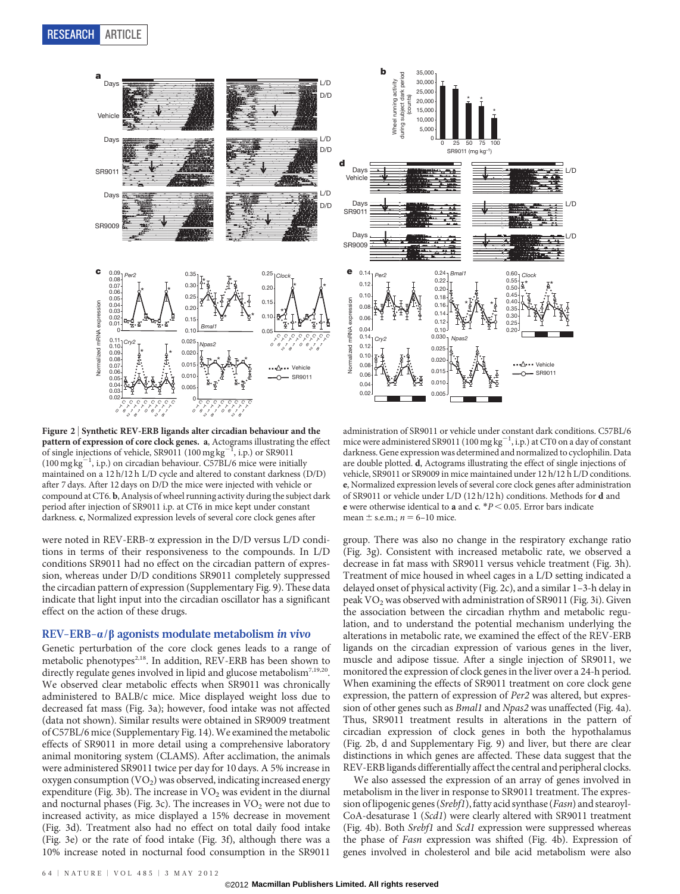

Figure 2 <sup>|</sup> Synthetic REV-ERB ligands alter circadian behaviour and the pattern of expression of core clock genes. a, Actograms illustrating the effect of single injections of vehicle, SR9011 (100 mg  $\text{kg}^{-1}$ , i.p.) or SR9011 (100 mg kg<sup>-1</sup>, i.p.) on circadian behaviour. C57BL/6 mice were initially maintained on a 12 h/12 h L/D cycle and altered to constant darkness (D/D) after 7 days. After 12 days on D/D the mice were injected with vehicle or compound at CT6. b, Analysis of wheel running activity during the subject dark period after injection of SR9011 i.p. at CT6 in mice kept under constant darkness. c, Normalized expression levels of several core clock genes after

2

8

2

8

2

8

2

8

were noted in REV-ERB-a expression in the D/D versus L/D conditions in terms of their responsiveness to the compounds. In L/D conditions SR9011 had no effect on the circadian pattern of expression, whereas under D/D conditions SR9011 completely suppressed the circadian pattern of expression (Supplementary Fig. 9). These data indicate that light input into the circadian oscillator has a significant effect on the action of these drugs.

### REV-ERB- $\alpha/\beta$  agonists modulate metabolism in vivo

Genetic perturbation of the core clock genes leads to a range of metabolic phenotypes<sup>2,18</sup>. In addition, REV-ERB has been shown to directly regulate genes involved in lipid and glucose metabolism<sup>7,19,20</sup>. We observed clear metabolic effects when SR9011 was chronically administered to BALB/c mice. Mice displayed weight loss due to decreased fat mass (Fig. 3a); however, food intake was not affected (data not shown). Similar results were obtained in SR9009 treatment of C57BL/6 mice (Supplementary Fig. 14). We examined the metabolic effects of SR9011 in more detail using a comprehensive laboratory animal monitoring system (CLAMS). After acclimation, the animals were administered SR9011 twice per day for 10 days. A 5% increase in oxygen consumption  $(VO<sub>2</sub>)$  was observed, indicating increased energy expenditure (Fig. 3b). The increase in  $VO<sub>2</sub>$  was evident in the diurnal and nocturnal phases (Fig. 3c). The increases in  $VO<sub>2</sub>$  were not due to increased activity, as mice displayed a 15% decrease in movement (Fig. 3d). Treatment also had no effect on total daily food intake (Fig. 3e) or the rate of food intake (Fig. 3f), although there was a 10% increase noted in nocturnal food consumption in the SR9011



administration of SR9011 or vehicle under constant dark conditions. C57BL/6 mice were administered SR9011 (100 mg  $kg^{-1}$ , i.p.) at CT0 on a day of constant darkness. Gene expression was determined and normalized to cyclophilin. Data are double plotted. d, Actograms illustrating the effect of single injections of vehicle, SR9011 or SR9009 in mice maintained under 12 h/12 h L/D conditions. e, Normalized expression levels of several core clock genes after administration of SR9011 or vehicle under L/D (12 h/12 h) conditions. Methods for d and e were otherwise identical to a and  $c. *P < 0.05$ . Error bars indicate mean  $\pm$  s.e.m.;  $n = 6$ –10 mice.

group. There was also no change in the respiratory exchange ratio (Fig. 3g). Consistent with increased metabolic rate, we observed a decrease in fat mass with SR9011 versus vehicle treatment (Fig. 3h). Treatment of mice housed in wheel cages in a L/D setting indicated a delayed onset of physical activity (Fig. 2c), and a similar 1–3-h delay in peak  $VO<sub>2</sub>$  was observed with administration of SR9011 (Fig. 3i). Given the association between the circadian rhythm and metabolic regulation, and to understand the potential mechanism underlying the alterations in metabolic rate, we examined the effect of the REV-ERB ligands on the circadian expression of various genes in the liver, muscle and adipose tissue. After a single injection of SR9011, we monitored the expression of clock genes in the liver over a 24-h period. When examining the effects of SR9011 treatment on core clock gene expression, the pattern of expression of Per2 was altered, but expression of other genes such as Bmal1 and Npas2 was unaffected (Fig. 4a). Thus, SR9011 treatment results in alterations in the pattern of circadian expression of clock genes in both the hypothalamus (Fig. 2b, d and Supplementary Fig. 9) and liver, but there are clear distinctions in which genes are affected. These data suggest that the REV-ERB ligands differentially affect the central and peripheral clocks.

We also assessed the expression of an array of genes involved in metabolism in the liver in response to SR9011 treatment. The expression of lipogenic genes (Srebf1), fatty acid synthase (Fasn) and stearoyl-CoA-desaturase 1 (Scd1) were clearly altered with SR9011 treatment (Fig. 4b). Both Srebf1 and Scd1 expression were suppressed whereas the phase of Fasn expression was shifted (Fig. 4b). Expression of genes involved in cholesterol and bile acid metabolism were also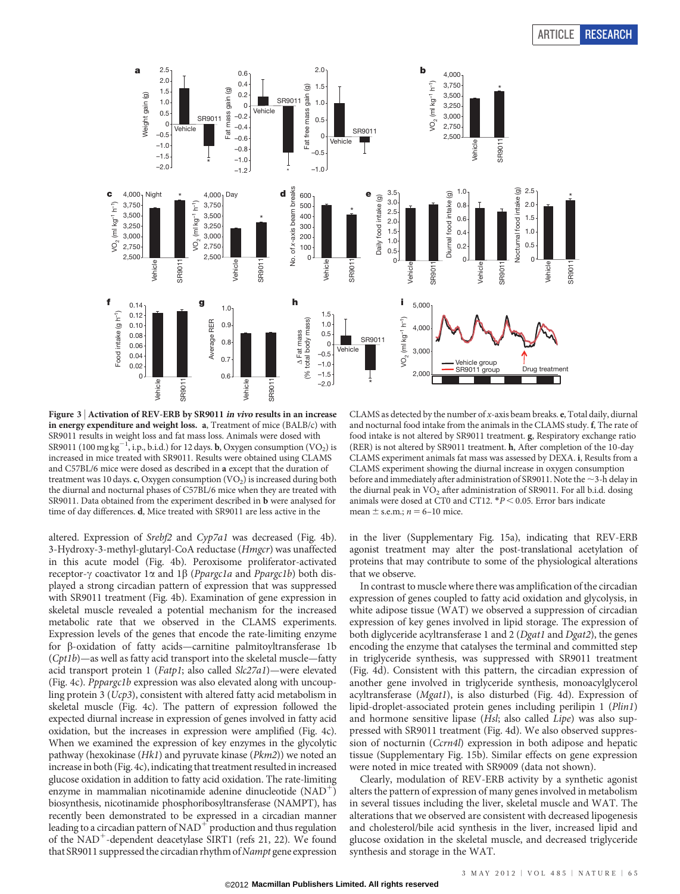

Figure 3 <sup>|</sup> Activation of REV-ERB by SR9011 in vivo results in an increase in energy expenditure and weight loss. a, Treatment of mice (BALB/c) with SR9011 results in weight loss and fat mass loss. Animals were dosed with SR9011 (100 mg kg $^{-1}$ , i.p., b.i.d.) for 12 days. **b**, Oxygen consumption (VO<sub>2</sub>) is increased in mice treated with SR9011. Results were obtained using CLAMS and C57BL/6 mice were dosed as described in a except that the duration of treatment was 10 days. c, Oxygen consumption  $(VO<sub>2</sub>)$  is increased during both the diurnal and nocturnal phases of C57BL/6 mice when they are treated with SR9011. Data obtained from the experiment described in b were analysed for time of day differences. d, Mice treated with SR9011 are less active in the

altered. Expression of Srebf2 and Cyp7a1 was decreased (Fig. 4b). 3-Hydroxy-3-methyl-glutaryl-CoA reductase (Hmgcr) was unaffected in this acute model (Fig. 4b). Peroxisome proliferator-activated receptor- $\gamma$  coactivator 1 $\alpha$  and 1 $\beta$  (*Ppargc1a* and *Ppargc1b*) both displayed a strong circadian pattern of expression that was suppressed with SR9011 treatment (Fig. 4b). Examination of gene expression in skeletal muscle revealed a potential mechanism for the increased metabolic rate that we observed in the CLAMS experiments. Expression levels of the genes that encode the rate-limiting enzyme for b-oxidation of fatty acids—carnitine palmitoyltransferase 1b (Cpt1b)—as well as fatty acid transport into the skeletal muscle—fatty acid transport protein 1 (Fatp1; also called Slc27a1)—were elevated (Fig. 4c). Pppargc1b expression was also elevated along with uncoupling protein 3 (Ucp3), consistent with altered fatty acid metabolism in skeletal muscle (Fig. 4c). The pattern of expression followed the expected diurnal increase in expression of genes involved in fatty acid oxidation, but the increases in expression were amplified (Fig. 4c). When we examined the expression of key enzymes in the glycolytic pathway (hexokinase (Hk1) and pyruvate kinase (Pkm2)) we noted an increase in both (Fig. 4c), indicating that treatment resulted in increased glucose oxidation in addition to fatty acid oxidation. The rate-limiting enzyme in mammalian nicotinamide adenine dinucleotide  $(NAD<sup>+</sup>)$ biosynthesis, nicotinamide phosphoribosyltransferase (NAMPT), has recently been demonstrated to be expressed in a circadian manner leading to a circadian pattern of  $NAD^+$  production and thus regulation of the  $NAD^+$ -dependent deacetylase SIRT1 (refs 21, 22). We found that SR9011 suppressed the circadian rhythm of Nampt gene expression

CLAMS as detected by the number of  $x$ -axis beam breaks.  $e$ , Total daily, diurnal and nocturnal food intake from the animals in the CLAMS study. f, The rate of food intake is not altered by SR9011 treatment. g, Respiratory exchange ratio (RER) is not altered by SR9011 treatment. h, After completion of the 10-day CLAMS experiment animals fat mass was assessed by DEXA. i, Results from a CLAMS experiment showing the diurnal increase in oxygen consumption before and immediately after administration of SR9011. Note the  $\sim$ 3-h delay in the diurnal peak in  $VO<sub>2</sub>$  after administration of SR9011. For all b.i.d. dosing animals were dosed at CT0 and CT12.  $*P < 0.05$ . Error bars indicate mean  $\pm$  s.e.m.;  $n = 6$ –10 mice.

in the liver (Supplementary Fig. 15a), indicating that REV-ERB agonist treatment may alter the post-translational acetylation of proteins that may contribute to some of the physiological alterations that we observe.

In contrast to muscle where there was amplification of the circadian expression of genes coupled to fatty acid oxidation and glycolysis, in white adipose tissue (WAT) we observed a suppression of circadian expression of key genes involved in lipid storage. The expression of both diglyceride acyltransferase 1 and 2 (*Dgat1* and *Dgat2*), the genes encoding the enzyme that catalyses the terminal and committed step in triglyceride synthesis, was suppressed with SR9011 treatment (Fig. 4d). Consistent with this pattern, the circadian expression of another gene involved in triglyceride synthesis, monoacylglycerol acyltransferase (Mgat1), is also disturbed (Fig. 4d). Expression of lipid-droplet-associated protein genes including perilipin 1 (Plin1) and hormone sensitive lipase (Hsl; also called Lipe) was also suppressed with SR9011 treatment (Fig. 4d). We also observed suppression of nocturnin (Ccrn4l) expression in both adipose and hepatic tissue (Supplementary Fig. 15b). Similar effects on gene expression were noted in mice treated with SR9009 (data not shown).

Clearly, modulation of REV-ERB activity by a synthetic agonist alters the pattern of expression of many genes involved in metabolism in several tissues including the liver, skeletal muscle and WAT. The alterations that we observed are consistent with decreased lipogenesis and cholesterol/bile acid synthesis in the liver, increased lipid and glucose oxidation in the skeletal muscle, and decreased triglyceride synthesis and storage in the WAT.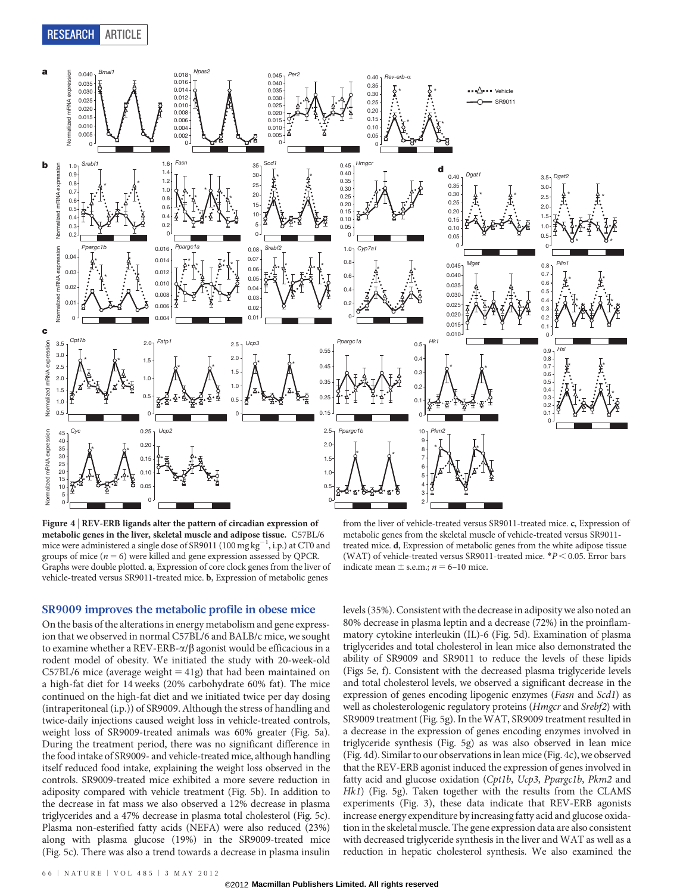

Figure 4 <sup>|</sup> REV-ERB ligands alter the pattern of circadian expression of metabolic genes in the liver, skeletal muscle and adipose tissue. C57BL/6 mice were administered a single dose of SR9011 (100  $mg\,kg^{-1}$ , i.p.) at CT0 and groups of mice  $(n = 6)$  were killed and gene expression assessed by QPCR. Graphs were double plotted. a, Expression of core clock genes from the liver of vehicle-treated versus SR9011-treated mice. b, Expression of metabolic genes

SR9009 improves the metabolic profile in obese mice

On the basis of the alterations in energy metabolism and gene expression that we observed in normal C57BL/6 and BALB/c mice, we sought to examine whether a REV-ERB- $\alpha$ / $\beta$  agonist would be efficacious in a rodent model of obesity. We initiated the study with 20-week-old  $C57BL/6$  mice (average weight = 41g) that had been maintained on a high-fat diet for 14 weeks (20% carbohydrate 60% fat). The mice continued on the high-fat diet and we initiated twice per day dosing (intraperitoneal (i.p.)) of SR9009. Although the stress of handling and twice-daily injections caused weight loss in vehicle-treated controls, weight loss of SR9009-treated animals was 60% greater (Fig. 5a). During the treatment period, there was no significant difference in the food intake of SR9009- and vehicle-treated mice, although handling itself reduced food intake, explaining the weight loss observed in the controls. SR9009-treated mice exhibited a more severe reduction in adiposity compared with vehicle treatment (Fig. 5b). In addition to the decrease in fat mass we also observed a 12% decrease in plasma triglycerides and a 47% decrease in plasma total cholesterol (Fig. 5c). Plasma non-esterified fatty acids (NEFA) were also reduced (23%) along with plasma glucose (19%) in the SR9009-treated mice (Fig. 5c). There was also a trend towards a decrease in plasma insulin

from the liver of vehicle-treated versus SR9011-treated mice. c, Expression of metabolic genes from the skeletal muscle of vehicle-treated versus SR9011 treated mice. d, Expression of metabolic genes from the white adipose tissue (WAT) of vehicle-treated versus SR9011-treated mice.  $*P$  < 0.05. Error bars indicate mean  $\pm$  s.e.m.;  $n = 6$ –10 mice.

levels (35%). Consistent with the decrease in adiposity we also noted an 80% decrease in plasma leptin and a decrease (72%) in the proinflammatory cytokine interleukin (IL)-6 (Fig. 5d). Examination of plasma triglycerides and total cholesterol in lean mice also demonstrated the ability of SR9009 and SR9011 to reduce the levels of these lipids (Figs 5e, f). Consistent with the decreased plasma triglyceride levels and total cholesterol levels, we observed a significant decrease in the expression of genes encoding lipogenic enzymes (Fasn and Scd1) as well as cholesterologenic regulatory proteins (Hmgcr and Srebf2) with SR9009 treatment (Fig. 5g). In the WAT, SR9009 treatment resulted in a decrease in the expression of genes encoding enzymes involved in triglyceride synthesis (Fig. 5g) as was also observed in lean mice (Fig. 4d). Similar to our observations in lean mice (Fig. 4c), we observed that the REV-ERB agonist induced the expression of genes involved in fatty acid and glucose oxidation (Cpt1b, Ucp3, Ppargc1b, Pkm2 and Hk1) (Fig. 5g). Taken together with the results from the CLAMS experiments (Fig. 3), these data indicate that REV-ERB agonists increase energy expenditure by increasing fatty acid and glucose oxidation in the skeletal muscle. The gene expression data are also consistent with decreased triglyceride synthesis in the liver and WAT as well as a reduction in hepatic cholesterol synthesis. We also examined the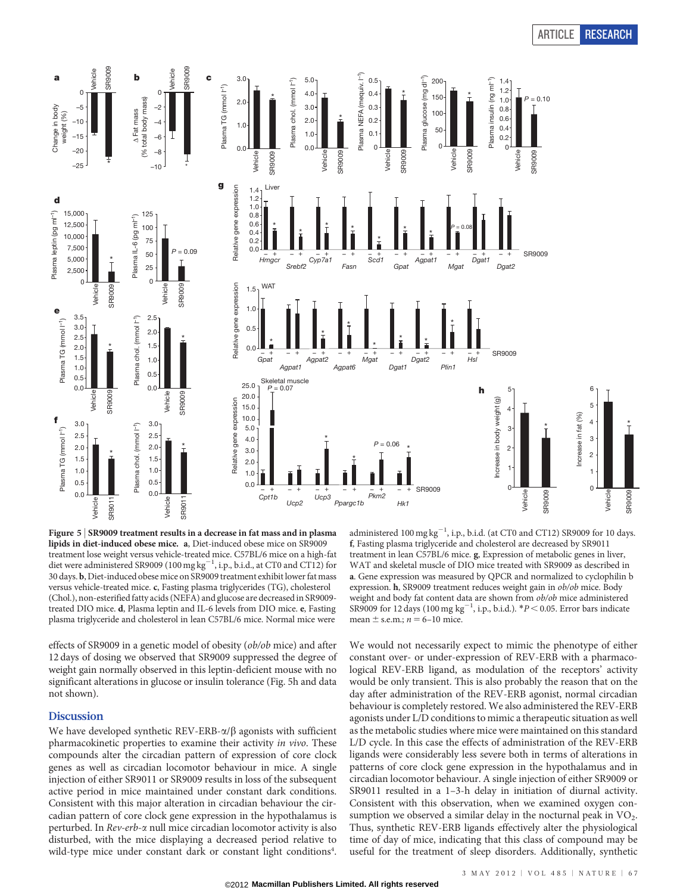# ARTICLE RESEARCH



Figure 5 <sup>|</sup> SR9009 treatment results in a decrease in fat mass and in plasma lipids in diet-induced obese mice. a, Diet-induced obese mice on SR9009 treatment lose weight versus vehicle-treated mice. C57BL/6 mice on a high-fat diet were administered SR9009 (100 mg  $\text{kg}^{-1}$ , i.p., b.i.d., at CT0 and CT12) for 30 days. b, Diet-induced obese mice on SR9009 treatment exhibit lower fat mass versus vehicle-treated mice. c, Fasting plasma triglycerides (TG), cholesterol (Chol.), non-esterified fatty acids (NEFA) and glucose are decreased in SR9009 treated DIO mice. d, Plasma leptin and IL-6 levels from DIO mice. e, Fasting plasma triglyceride and cholesterol in lean C57BL/6 mice. Normal mice were

effects of SR9009 in a genetic model of obesity (ob/ob mice) and after 12 days of dosing we observed that SR9009 suppressed the degree of weight gain normally observed in this leptin-deficient mouse with no significant alterations in glucose or insulin tolerance (Fig. 5h and data not shown).

## Discussion

We have developed synthetic REV-ERB- $\alpha/\beta$  agonists with sufficient pharmacokinetic properties to examine their activity in vivo. These compounds alter the circadian pattern of expression of core clock genes as well as circadian locomotor behaviour in mice. A single injection of either SR9011 or SR9009 results in loss of the subsequent active period in mice maintained under constant dark conditions. Consistent with this major alteration in circadian behaviour the circadian pattern of core clock gene expression in the hypothalamus is perturbed. In Rev-erb-a null mice circadian locomotor activity is also disturbed, with the mice displaying a decreased period relative to wild-type mice under constant dark or constant light conditions<sup>4</sup>.

administered  $100 \text{ mg kg}^{-1}$ , i.p., b.i.d. (at CT0 and CT12) SR9009 for 10 days. f, Fasting plasma triglyceride and cholesterol are decreased by SR9011 treatment in lean C57BL/6 mice. g, Expression of metabolic genes in liver, WAT and skeletal muscle of DIO mice treated with SR9009 as described in a. Gene expression was measured by QPCR and normalized to cyclophilin b expression. h, SR9009 treatment reduces weight gain in ob/ob mice. Body weight and body fat content data are shown from ob/ob mice administered SR9009 for 12 days (100 mg kg<sup>-1</sup>, i.p., b.i.d.).  $*P$  < 0.05. Error bars indicate mean  $\pm$  s.e.m.;  $n = 6$ –10 mice.

We would not necessarily expect to mimic the phenotype of either constant over- or under-expression of REV-ERB with a pharmacological REV-ERB ligand, as modulation of the receptors' activity would be only transient. This is also probably the reason that on the day after administration of the REV-ERB agonist, normal circadian behaviour is completely restored. We also administered the REV-ERB agonists under L/D conditions to mimic a therapeutic situation as well as the metabolic studies where mice were maintained on this standard L/D cycle. In this case the effects of administration of the REV-ERB ligands were considerably less severe both in terms of alterations in patterns of core clock gene expression in the hypothalamus and in circadian locomotor behaviour. A single injection of either SR9009 or SR9011 resulted in a 1–3-h delay in initiation of diurnal activity. Consistent with this observation, when we examined oxygen consumption we observed a similar delay in the nocturnal peak in  $VO<sub>2</sub>$ . Thus, synthetic REV-ERB ligands effectively alter the physiological time of day of mice, indicating that this class of compound may be useful for the treatment of sleep disorders. Additionally, synthetic